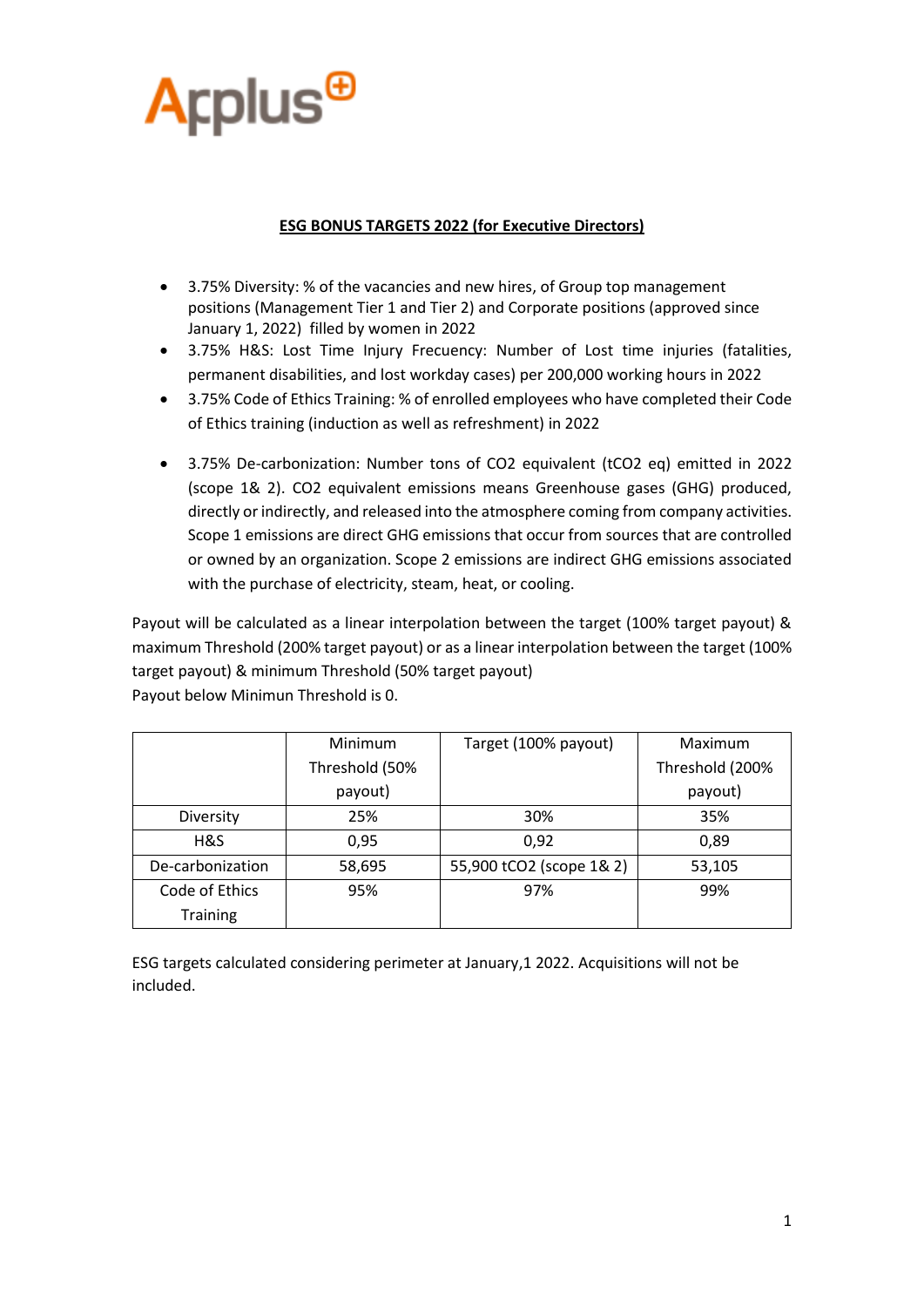

### **ESG BONUS TARGETS 2022 (for Executive Directors)**

- 3.75% Diversity: % of the vacancies and new hires, of Group top management positions (Management Tier 1 and Tier 2) and Corporate positions (approved since January 1, 2022) filled by women in 2022
- 3.75% H&S: Lost Time Injury Frecuency: Number of Lost time injuries (fatalities, permanent disabilities, and lost workday cases) per 200,000 working hours in 2022
- 3.75% Code of Ethics Training: % of enrolled employees who have completed their Code of Ethics training (induction as well as refreshment) in 2022
- 3.75% De-carbonization: Number tons of CO2 equivalent (tCO2 eq) emitted in 2022 (scope 1& 2). CO2 equivalent emissions means Greenhouse gases (GHG) produced, directly or indirectly, and released into the atmosphere coming from company activities. Scope 1 emissions are direct GHG emissions that occur from sources that are controlled or owned by an organization. Scope 2 emissions are indirect GHG emissions associated with the purchase of electricity, steam, heat, or cooling.

Payout will be calculated as a linear interpolation between the target (100% target payout) & maximum Threshold (200% target payout) or as a linear interpolation between the target (100% target payout) & minimum Threshold (50% target payout) Payout below Minimun Threshold is 0.

|                  | Minimum        | Target (100% payout)     | Maximum         |
|------------------|----------------|--------------------------|-----------------|
|                  | Threshold (50% |                          | Threshold (200% |
|                  | payout)        |                          | payout)         |
| Diversity        | 25%            | 30%                      | 35%             |
| H&S              | 0,95           | 0,92                     | 0,89            |
| De-carbonization | 58,695         | 55,900 tCO2 (scope 1& 2) | 53,105          |
| Code of Ethics   | 95%            | 97%                      | 99%             |
| <b>Training</b>  |                |                          |                 |

ESG targets calculated considering perimeter at January,1 2022. Acquisitions will not be included.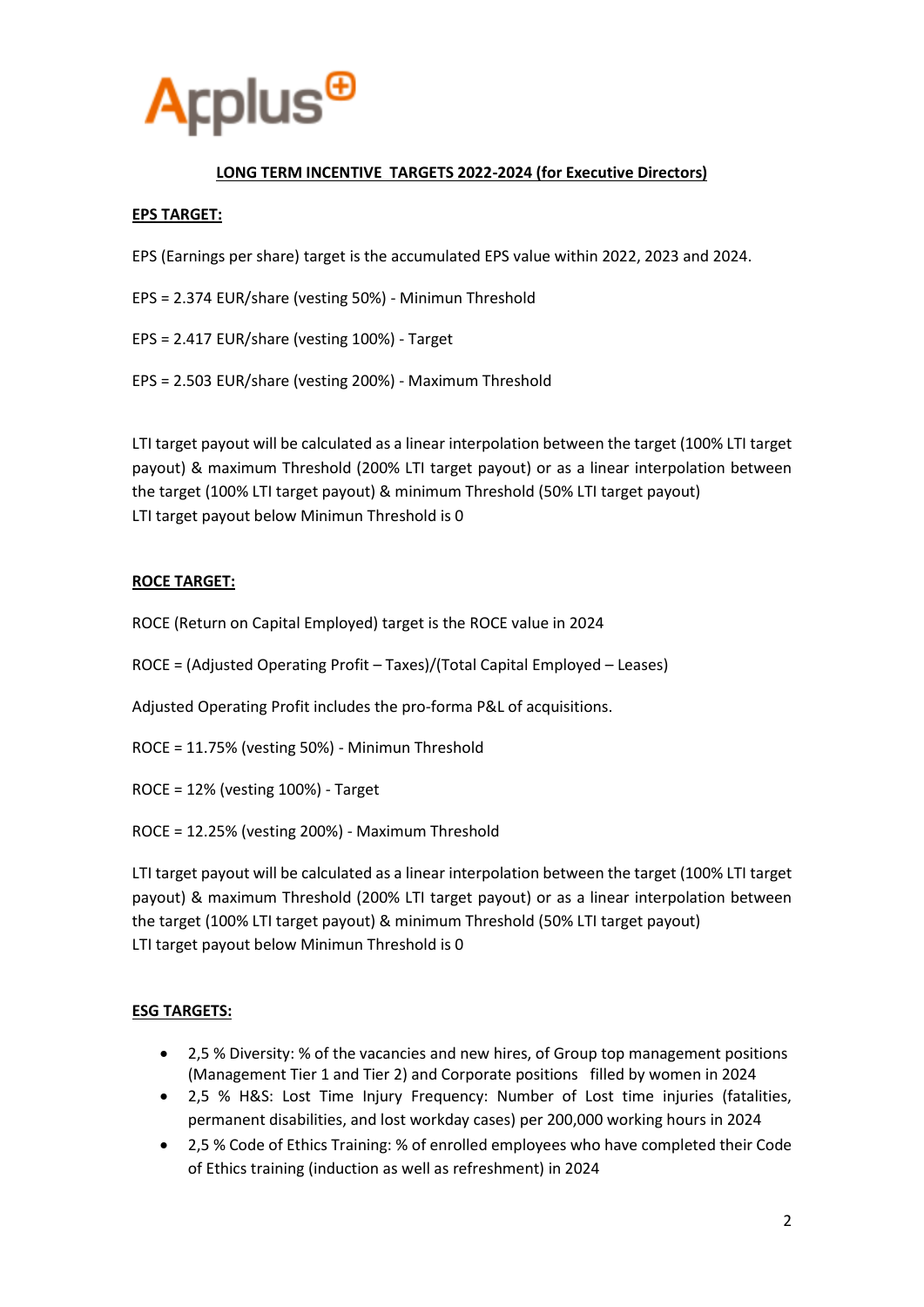

# **LONG TERM INCENTIVE TARGETS 2022-2024 (for Executive Directors)**

### **EPS TARGET:**

EPS (Earnings per share) target is the accumulated EPS value within 2022, 2023 and 2024.

- EPS = 2.374 EUR/share (vesting 50%) Minimun Threshold
- EPS = 2.417 EUR/share (vesting 100%) Target
- EPS = 2.503 EUR/share (vesting 200%) Maximum Threshold

LTI target payout will be calculated as a linear interpolation between the target (100% LTI target payout) & maximum Threshold (200% LTI target payout) or as a linear interpolation between the target (100% LTI target payout) & minimum Threshold (50% LTI target payout) LTI target payout below Minimun Threshold is 0

### **ROCE TARGET:**

ROCE (Return on Capital Employed) target is the ROCE value in 2024

ROCE = (Adjusted Operating Profit – Taxes)/(Total Capital Employed – Leases)

Adjusted Operating Profit includes the pro-forma P&L of acquisitions.

- ROCE = 11.75% (vesting 50%) Minimun Threshold
- ROCE = 12% (vesting 100%) Target
- ROCE = 12.25% (vesting 200%) Maximum Threshold

LTI target payout will be calculated as a linear interpolation between the target (100% LTI target payout) & maximum Threshold (200% LTI target payout) or as a linear interpolation between the target (100% LTI target payout) & minimum Threshold (50% LTI target payout) LTI target payout below Minimun Threshold is 0

#### **ESG TARGETS:**

- 2,5 % Diversity: % of the vacancies and new hires, of Group top management positions (Management Tier 1 and Tier 2) and Corporate positions filled by women in 2024
- 2,5 % H&S: Lost Time Injury Frequency: Number of Lost time injuries (fatalities, permanent disabilities, and lost workday cases) per 200,000 working hours in 2024
- 2,5 % Code of Ethics Training: % of enrolled employees who have completed their Code of Ethics training (induction as well as refreshment) in 2024